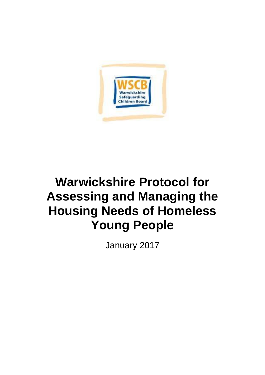

# **Warwickshire Protocol for Assessing and Managing the Housing Needs of Homeless Young People**

January 2017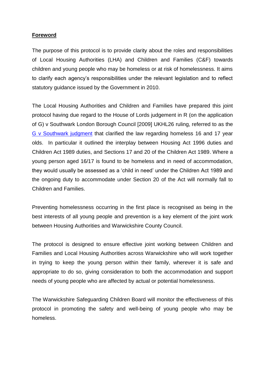# **Foreword**

The purpose of this protocol is to provide clarity about the roles and responsibilities of Local Housing Authorities (LHA) and Children and Families (C&F) towards children and young people who may be homeless or at risk of homelessness. It aims to clarify each agency's responsibilities under the relevant legislation and to reflect statutory guidance issued by the Government in 2010.

The Local Housing Authorities and Children and Families have prepared this joint protocol having due regard to the House of Lords judgement in R (on the application of G) v Southwark London Borough Council [2009] UKHL26 ruling, referred to as the [G v Southwark judgment](http://www.publications.parliament.uk/pa/ld200809/ldjudgmt/jd090520/appg-1.htm) that clarified the law regarding homeless 16 and 17 year olds. In particular it outlined the interplay between Housing Act 1996 duties and Children Act 1989 duties, and Sections 17 and 20 of the Children Act 1989. Where a young person aged 16/17 is found to be homeless and in need of accommodation, they would usually be assessed as a 'child in need' under the Children Act 1989 and the ongoing duty to accommodate under Section 20 of the Act will normally fall to Children and Families.

Preventing homelessness occurring in the first place is recognised as being in the best interests of all young people and prevention is a key element of the joint work between Housing Authorities and Warwickshire County Council.

The protocol is designed to ensure effective joint working between Children and Families and Local Housing Authorities across Warwickshire who will work together in trying to keep the young person within their family, wherever it is safe and appropriate to do so, giving consideration to both the accommodation and support needs of young people who are affected by actual or potential homelessness.

The Warwickshire Safeguarding Children Board will monitor the effectiveness of this protocol in promoting the safety and well-being of young people who may be homeless.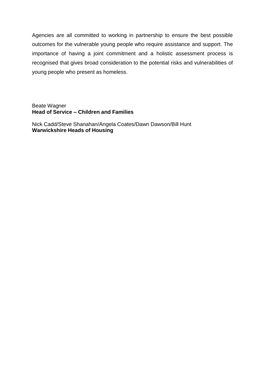Agencies are all committed to working in partnership to ensure the best possible outcomes for the vulnerable young people who require assistance and support. The importance of having a joint commitment and a holistic assessment process is recognised that gives broad consideration to the potential risks and vulnerabilities of young people who present as homeless.

#### Beate Wagner **Head of Service – Children and Families**

Nick Cadd/Steve Shanahan/Angela Coates/Dawn Dawson/Bill Hunt **Warwickshire Heads of Housing**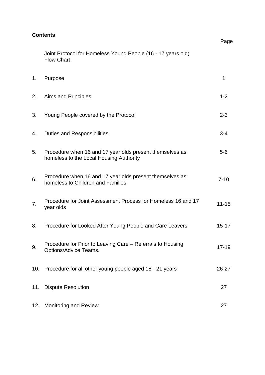| <b>Contents</b> |                                                                                                     | Page      |
|-----------------|-----------------------------------------------------------------------------------------------------|-----------|
|                 | Joint Protocol for Homeless Young People (16 - 17 years old)<br><b>Flow Chart</b>                   |           |
| 1.              | Purpose                                                                                             | 1         |
| 2.              | Aims and Principles                                                                                 | $1 - 2$   |
| 3.              | Young People covered by the Protocol                                                                | $2 - 3$   |
| 4.              | <b>Duties and Responsibilities</b>                                                                  | $3 - 4$   |
| 5.              | Procedure when 16 and 17 year olds present themselves as<br>homeless to the Local Housing Authority | $5-6$     |
| 6.              | Procedure when 16 and 17 year olds present themselves as<br>homeless to Children and Families       | $7 - 10$  |
| 7.              | Procedure for Joint Assessment Process for Homeless 16 and 17<br>year olds                          | $11 - 15$ |
| 8.              | Procedure for Looked After Young People and Care Leavers                                            | $15 - 17$ |
| 9.              | Procedure for Prior to Leaving Care – Referrals to Housing<br>Options/Advice Teams.                 | $17 - 19$ |
| 10.             | Procedure for all other young people aged 18 - 21 years                                             | 26-27     |
| 11.             | <b>Dispute Resolution</b>                                                                           | 27        |
| 12.             | Monitoring and Review                                                                               | 27        |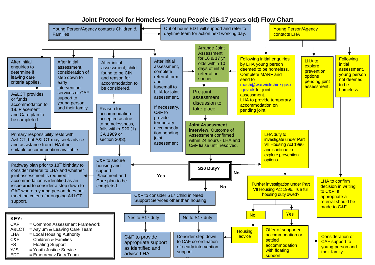#### 9  $\overline{a}$ No LHA duty to investigate under Part **VII Housing Act 1996** and continue to explore prevention options. **Joint Assessment interview**. Outcome of Assessment confirmed within 24 hours - LHA and C&F liaise until resolved. C&F to secure housing and support. Placement and Care plan to be completed. Young Person/Agency contacts Children & Families Young Person/Agency contacts LHA Following initial enquiries by LHA young person deemed to be homeless. Complete MARF and send to [mash@warwickshire.gcsx](mailto:mash@warwickshire.gcsx.gov.uk) [.gov.uk](mailto:mash@warwickshire.gcsx.gov.uk) for joint assessment. LHA to provide temporary accommodation on pending joint <mark>assessment.</mark><br>P **Housing** advice Further investigation under Part VII Housing Act 1996. Is a full housing duty owed? Offer of supported accommodation or settled accommodation with floating support. Yes A&LCT provides or funds accommodation to 18. Placement and Care plan to be completed. Primary responsibility rests with A&LCT, but A&LCT may seek advice and assistance from LHA if no suitable accommodation available. **KEY:** CAF = Common Assessment Framework A&LCT = Asylum & Leaving Care Team LHA = Local Housing Authority<br> $C\&F$  = Children & Families  $=$  Children & Families FS = Floating Support  $YJS = Youth$  Justice Service  $FDT = Fmergencv$  Duty Team Arrange Joint **Assessment** for 16 & 17 yr olds within 10 days of initial referral or sooner. After initial enquiries to determine if leaving care criteria applies. After initial assessment, complete referral form and fax/email to LHA for joint assessment. If necessary, C&F to provide temporary accommoda tion pending joint assessment Pathway plan prior to 18<sup>th</sup> birthday to consider referral to LHA and whether joint assessment is required if accommodation is identified as an issue **and** to consider a step down to CAF where a young person does not meet the criteria for ongoing A&LCT support. Reason for accommodation accepted as due to homelessness, falls within S20 (1) CA 1989 or section 20(3). **No**  C&F to consider S17 Child in Need Support Services other than housing  **S20 Duty? Yes** Consider step down to CAF co-ordination of / early intervention support Yes to S17 duty No to S17 duty C&F to provide appropriate support as identified and advise LHA **Following initial** assessment, young person not deemed to be homeless. LHA to explore **prevention options** pending joint assessment. Pre-joint assessment discussion to take place. After initial assessment, consideration of step down to early **intervention** services or CAF support to young person and their family. **No Consideration of** CAF support to young person and their family. Out of hours EDT will support and refer to daytime team for action next working day. After initial assessment, child found to be CIN and reason for accommodation to be considered. LHA to confirm decision in writing to C&F. If appropriate a referral should be made to C&F.

# **Joint Protocol for Homeless Young People (16-17 years old) Flow Chart**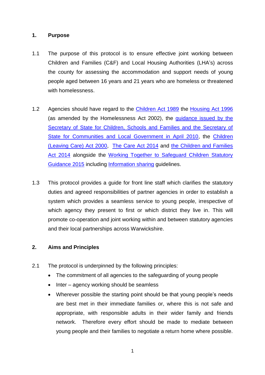# **1. Purpose**

- 1.1 The purpose of this protocol is to ensure effective joint working between Children and Families (C&F) and Local Housing Authorities (LHA's) across the county for assessing the accommodation and support needs of young people aged between 16 years and 21 years who are homeless or threatened with homelessness.
- 1.2 Agencies should have regard to the *Children Act 1989* the [Housing Act 1996](http://www.legislation.gov.uk/ukpga/1996/52/contents) (as amended by the Homelessness Act 2002), the [guidance issued](https://www.gov.uk/government/publications/provision-of-accommodation-for-16-and-17-year-olds-who-may-be-homeless-and-or-require-accommodation) by the [Secretary of State for Children, Schools and Families and the Secretary of](https://www.gov.uk/government/publications/provision-of-accommodation-for-16-and-17-year-olds-who-may-be-homeless-and-or-require-accommodation)  [State for Communities and Local Government in April 2010,](https://www.gov.uk/government/publications/provision-of-accommodation-for-16-and-17-year-olds-who-may-be-homeless-and-or-require-accommodation) the [Children](http://www.legislation.gov.uk/ukpga/2000/35/contents)  [\(Leaving Care\) Act 2000,](http://www.legislation.gov.uk/ukpga/2000/35/contents) [The Care Act 2014](http://www.legislation.gov.uk/ukpga/2014/23/contents/enacted) and [the Children and Families](http://www.legislation.gov.uk/ukpga/2014/6/contents/enacted)  [Act 2014](http://www.legislation.gov.uk/ukpga/2014/6/contents/enacted) alongside the [Working Together to Safeguard Children Statutory](https://www.gov.uk/government/uploads/system/uploads/attachment_data/file/419595/Working_Together_to_Safeguard_Children.pdf)  [Guidance 2015](https://www.gov.uk/government/uploads/system/uploads/attachment_data/file/419595/Working_Together_to_Safeguard_Children.pdf) including [Information sharing](https://www.gov.uk/government/publications/safeguarding-practitioners-information-sharing-advice) guidelines.
- 1.3 This protocol provides a guide for front line staff which clarifies the statutory duties and agreed responsibilities of partner agencies in order to establish a system which provides a seamless service to young people, irrespective of which agency they present to first or which district they live in. This will promote co-operation and joint working within and between statutory agencies and their local partnerships across Warwickshire.

#### **2. Aims and Principles**

- 2.1 The protocol is underpinned by the following principles:
	- The commitment of all agencies to the safeguarding of young people
	- Inter agency working should be seamless
	- Wherever possible the starting point should be that young people's needs are best met in their immediate families or, where this is not safe and appropriate, with responsible adults in their wider family and friends network. Therefore every effort should be made to mediate between young people and their families to negotiate a return home where possible.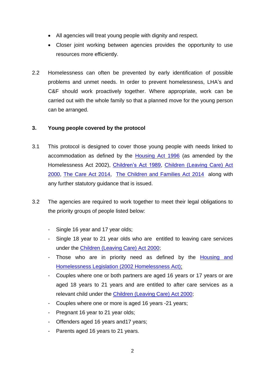- All agencies will treat young people with dignity and respect.
- Closer joint working between agencies provides the opportunity to use resources more efficiently.
- 2.2 Homelessness can often be prevented by early identification of possible problems and unmet needs. In order to prevent homelessness, LHA's and C&F should work proactively together. Where appropriate, work can be carried out with the whole family so that a planned move for the young person can be arranged.

# **3. Young people covered by the protocol**

- 3.1 This protocol is designed to cover those young people with needs linked to accommodation as defined by the [Housing Act 1996](http://www.legislation.gov.uk/ukpga/1996/52/contents) (as amended by the Homelessness Act 2002), [Children's Act 1989,](http://www.legislation.gov.uk/ukpga/1989/41/contents) [Children \(Leaving Care\) Act](http://www.legislation.gov.uk/ukpga/2000/35/contents)  [2000,](http://www.legislation.gov.uk/ukpga/2000/35/contents) [The Care Act 2014,](http://www.legislation.gov.uk/ukpga/2014/23/contents/enacted) [The Children and Families Act 2014](http://www.legislation.gov.uk/ukpga/2014/6/contents/enacted) along with any further statutory guidance that is issued.
- 3.2 The agencies are required to work together to meet their legal obligations to the priority groups of people listed below:
	- Single 16 year and 17 year olds;
	- Single 18 year to 21 year olds who are entitled to leaving care services under the [Children \(Leaving Care\) Act 2000;](http://www.legislation.gov.uk/ukpga/2000/35/contents)
	- Those who are in priority need as defined by the [Housing and](http://www.legislation.gov.uk/ukpga/2002/7/contents)  [Homelessness Legislation \(2002 Homelessness Act\);](http://www.legislation.gov.uk/ukpga/2002/7/contents)
	- Couples where one or both partners are aged 16 years or 17 years or are aged 18 years to 21 years and are entitled to after care services as a relevant child under the [Children \(Leaving Care\) Act 2000;](http://www.legislation.gov.uk/ukpga/2000/35/contents)
	- Couples where one or more is aged 16 years -21 years;
	- Pregnant 16 year to 21 year olds;
	- Offenders aged 16 years and17 years;
	- Parents aged 16 years to 21 years.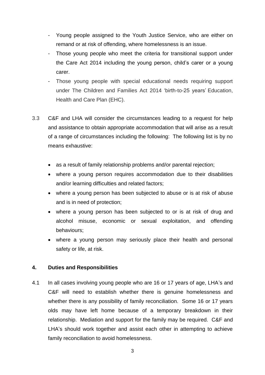- Young people assigned to the Youth Justice Service, who are either on remand or at risk of offending, where homelessness is an issue.
- Those young people who meet the criteria for transitional support under the Care Act 2014 including the young person, child's carer or a young carer.
- Those young people with special educational needs requiring support under The Children and Families Act 2014 'birth-to-25 years' Education, Health and Care Plan (EHC).
- 3.3 C&F and LHA will consider the circumstances leading to a request for help and assistance to obtain appropriate accommodation that will arise as a result of a range of circumstances including the following: The following list is by no means exhaustive:
	- as a result of family relationship problems and/or parental rejection;
	- where a young person requires accommodation due to their disabilities and/or learning difficulties and related factors;
	- where a young person has been subjected to abuse or is at risk of abuse and is in need of protection;
	- where a young person has been subjected to or is at risk of drug and alcohol misuse, economic or sexual exploitation, and offending behaviours;
	- where a young person may seriously place their health and personal safety or life, at risk.

#### **4. Duties and Responsibilities**

4.1 In all cases involving young people who are 16 or 17 years of age, LHA's and C&F will need to establish whether there is genuine homelessness and whether there is any possibility of family reconciliation. Some 16 or 17 years olds may have left home because of a temporary breakdown in their relationship. Mediation and support for the family may be required. C&F and LHA's should work together and assist each other in attempting to achieve family reconciliation to avoid homelessness.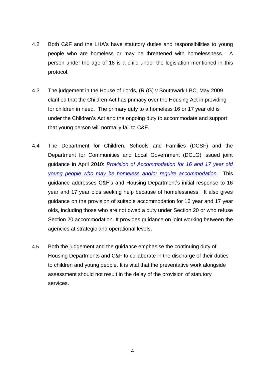- 4.2 Both C&F and the LHA's have statutory duties and responsibilities to young people who are homeless or may be threatened with homelessness. A person under the age of 18 is a child under the legislation mentioned in this protocol.
- 4.3 The judgement in the House of Lords, (R (G) v Southwark LBC, May 2009 clarified that the Children Act has primacy over the Housing Act in providing for children in need. The primary duty to a homeless 16 or 17 year old is under the Children's Act and the ongoing duty to accommodate and support that young person will normally fall to C&F.
- 4.4 The Department for Children, Schools and Families (DCSF) and the Department for Communities and Local Government (DCLG) issued joint guidance in April 2010: *[Provision of Accommodation for 16 and 17 year old](https://www.gov.uk/government/publications/provision-of-accommodation-for-16-and-17-year-olds-who-may-be-homeless-and-or-require-accommodation)  [young people who may be homeless and/or require accommodation](https://www.gov.uk/government/publications/provision-of-accommodation-for-16-and-17-year-olds-who-may-be-homeless-and-or-require-accommodation).* This guidance addresses C&F's and Housing Department's initial response to 16 year and 17 year olds seeking help because of homelessness. It also gives guidance on the provision of suitable accommodation for 16 year and 17 year olds, including those who are not owed a duty under Section 20 or who refuse Section 20 accommodation. It provides guidance on joint working between the agencies at strategic and operational levels.
- 4.5 Both the judgement and the guidance emphasise the continuing duty of Housing Departments and C&F to collaborate in the discharge of their duties to children and young people. It is vital that the preventative work alongside assessment should not result in the delay of the provision of statutory services.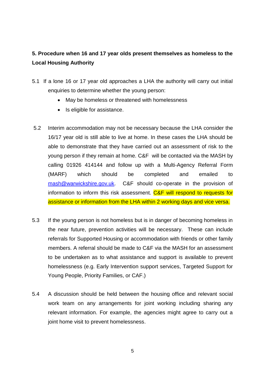# **5. Procedure when 16 and 17 year olds present themselves as homeless to the Local Housing Authority**

- 5.1 If a lone 16 or 17 year old approaches a LHA the authority will carry out initial enquiries to determine whether the young person:
	- May be homeless or threatened with homelessness
	- Is eligible for assistance.
- 5.2 Interim accommodation may not be necessary because the LHA consider the 16/17 year old is still able to live at home. In these cases the LHA should be able to demonstrate that they have carried out an assessment of risk to the young person if they remain at home. C&F will be contacted via the MASH by calling 01926 414144 and follow up with a Multi-Agency Referral Form (MARF) which should be completed and emailed to [mash@warwickshire.gov.uk.](mailto:mash@warwickshire.gov.uk) C&F should co-operate in the provision of information to inform this risk assessment. C&F will respond to requests for assistance or information from the LHA within 2 working days and vice versa.
- 5.3 If the young person is not homeless but is in danger of becoming homeless in the near future, prevention activities will be necessary. These can include referrals for Supported Housing or accommodation with friends or other family members. A referral should be made to C&F via the MASH for an assessment to be undertaken as to what assistance and support is available to prevent homelessness (e.g. Early Intervention support services, Targeted Support for Young People, Priority Families, or CAF.)
- 5.4 A discussion should be held between the housing office and relevant social work team on any arrangements for joint working including sharing any relevant information. For example, the agencies might agree to carry out a joint home visit to prevent homelessness.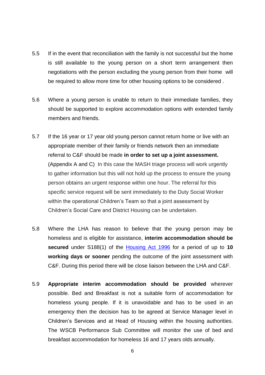- 5.5 If in the event that reconciliation with the family is not successful but the home is still available to the young person on a short term arrangement then negotiations with the person excluding the young person from their home will be required to allow more time for other housing options to be considered .
- 5.6 Where a young person is unable to return to their immediate families, they should be supported to explore accommodation options with extended family members and friends.
- 5.7 If the 16 year or 17 year old young person cannot return home or live with an appropriate member of their family or friends network then an immediate referral to C&F should be made **in order to set up a joint assessment.** (Appendix A and C) In this case the MASH triage process will work urgently to gather information but this will not hold up the process to ensure the young person obtains an urgent response within one hour. The referral for this specific service request will be sent immediately to the Duty Social Worker within the operational Children's Team so that a joint assessment by Children's Social Care and District Housing can be undertaken.
- 5.8 Where the LHA has reason to believe that the young person may be homeless and is eligible for assistance, **interim accommodation should be secured** under S188(1) of the [Housing Act 1996](http://www.legislation.gov.uk/ukpga/1996/52/contents) for a period of up to **10 working days or sooner** pending the outcome of the joint assessment with C&F. During this period there will be close liaison between the LHA and C&F.
- 5.9 **Appropriate interim accommodation should be provided** wherever possible. Bed and Breakfast is not a suitable form of accommodation for homeless young people. If it is unavoidable and has to be used in an emergency then the decision has to be agreed at Service Manager level in Children's Services and at Head of Housing within the housing authorities. The WSCB Performance Sub Committee will monitor the use of bed and breakfast accommodation for homeless 16 and 17 years olds annually.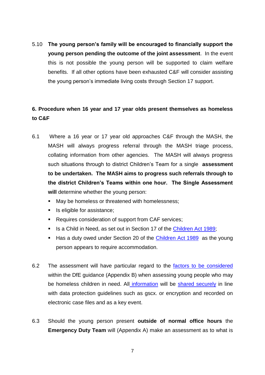5.10 **The young person's family will be encouraged to financially support the young person pending the outcome of the joint assessment**. In the event this is not possible the young person will be supported to claim welfare benefits. If all other options have been exhausted C&F will consider assisting the young person's immediate living costs through Section 17 support.

# **6. Procedure when 16 year and 17 year olds present themselves as homeless to C&F**

- 6.1 Where a 16 year or 17 year old approaches C&F through the MASH, the MASH will always progress referral through the MASH triage process, collating information from other agencies. The MASH will always progress such situations through to district Children's Team for a single **assessment to be undertaken. The MASH aims to progress such referrals through to the district Children's Teams within one hour. The Single Assessment**  will determine whether the young person:
	- May be homeless or threatened with homelessness;
	- Is eligible for assistance;
	- Requires consideration of support from CAF services;
	- Is a Child in Need, as set out in Section 17 of the [Children Act 1989;](http://www.legislation.gov.uk/ukpga/1989/41/contents)
	- Has a duty owed under Section 20 of the [Children Act 1989](http://www.legislation.gov.uk/ukpga/1989/41/contents) as the young person appears to require accommodation.
- 6.2 The assessment will have particular regard to the [factors to be considered](https://www.gov.uk/government/uploads/system/uploads/attachment_data/file/8260/Provision_20of_20accommodation.pdf) within the DfE guidance (Appendix B) when assessing young people who may be homeless children in need. All [information](https://www.gov.uk/government/publications/safeguarding-practitioners-information-sharing-advice) will be [shared securely](http://www.warwickshire.gov.uk/sharinginformation) in line with data protection guidelines such as gscx. or encryption and recorded on electronic case files and as a key event.
- 6.3 Should the young person present **outside of normal office hours** the **Emergency Duty Team** will (Appendix A) make an assessment as to what is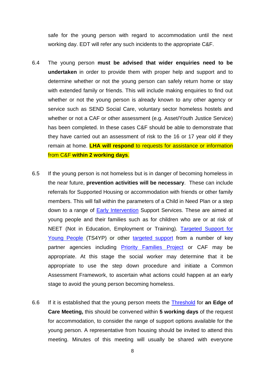safe for the young person with regard to accommodation until the next working day. EDT will refer any such incidents to the appropriate C&F.

- 6.4 The young person **must be advised that wider enquiries need to be undertaken** in order to provide them with proper help and support and to determine whether or not the young person can safely return home or stay with extended family or friends. This will include making enquiries to find out whether or not the young person is already known to any other agency or service such as SEND Social Care, voluntary sector homeless hostels and whether or not a CAF or other assessment (e.g. Asset/Youth Justice Service) has been completed. In these cases C&F should be able to demonstrate that they have carried out an assessment of risk to the 16 or 17 year old if they remain at home. **LHA will respond** to requests for assistance or information from C&F **within 2 working days**.
- 6.5 If the young person is not homeless but is in danger of becoming homeless in the near future, **prevention activities will be necessary**. These can include referrals for Supported Housing or accommodation with friends or other family members. This will fall within the parameters of a Child in Need Plan or a step down to a range of [Early Intervention](http://www.warwickshire.gov.uk/eis) Support Services. These are aimed at young people and their families such as for children who are or at risk of NEET (Not in Education, Employment or Training). [Targeted Support for](http://www.warwickshire.gov.uk/youthandcommunity)  [Young People](http://www.warwickshire.gov.uk/youthandcommunity) (TS4YP) or other [targeted support](http://www.warwickshire.gov.uk/parentingprogrammes) from a number of key partner agencies including [Priority Families Project](http://www.warwickshire.gov.uk/priorityfamilies) or CAF may be appropriate. At this stage the social worker may determine that it be appropriate to use the step down procedure and initiate a Common Assessment Framework, to ascertain what actions could happen at an early stage to avoid the young person becoming homeless.
- 6.6 If it is established that the young person meets the [Threshold](http://apps.warwickshire.gov.uk/api/documents/WCCC-850-240) for **an Edge of Care Meeting,** this should be convened within **5 working days** of the request for accommodation, to consider the range of support options available for the young person. A representative from housing should be invited to attend this meeting. Minutes of this meeting will usually be shared with everyone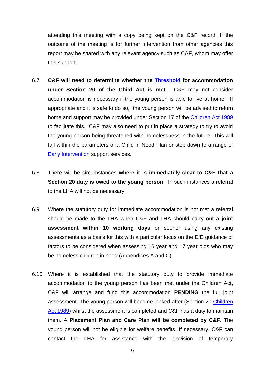attending this meeting with a copy being kept on the C&F record. If the outcome of the meeting is for further intervention from other agencies this report may be shared with any relevant agency such as CAF, whom may offer this support.

- 6.7 **C&F will need to determine whether the [Threshold](http://apps.warwickshire.gov.uk/api/documents/WCCC-850-240) for accommodation under Section 20 of the Child Act is met**. C&F may not consider accommodation is necessary if the young person is able to live at home. If appropriate and it is safe to do so, the young person will be advised to return home and support may be provided under Section 17 of the [Children Act 1989](http://www.legislation.gov.uk/ukpga/1989/41/contents) to facilitate this. C&F may also need to put in place a strategy to try to avoid the young person being threatened with homelessness in the future. This will fall within the parameters of a Child in Need Plan or step down to a range of [Early Intervention](http://www.warwickshire.gov.uk/eis) support services.
- 6.8 There will be circumstances **where it is immediately clear to C&F that a Section 20 duty is owed to the young person**. In such instances a referral to the LHA will not be necessary.
- 6.9 Where the statutory duty for immediate accommodation is not met a referral should be made to the LHA when C&F and LHA should carry out a **joint assessment within 10 working days** or sooner using any existing assessments as a basis for this with a particular focus on the DfE guidance of factors to be considered when assessing 16 year and 17 year olds who may be homeless children in need (Appendices A and C).
- 6.10 Where it is established that the statutory duty to provide immediate accommodation to the young person has been met under the Children Act**,**  C&F will arrange and fund this accommodation **PENDING** the full joint assessment. The young person will become looked after (Section 20 [Children](http://www.legislation.gov.uk/ukpga/1989/41/contents)  [Act 1989\)](http://www.legislation.gov.uk/ukpga/1989/41/contents) whilst the assessment is completed and C&F has a duty to maintain them. A **Placement Plan and Care Plan will be completed by C&F**. The young person will not be eligible for welfare benefits. If necessary, C&F can contact the LHA for assistance with the provision of temporary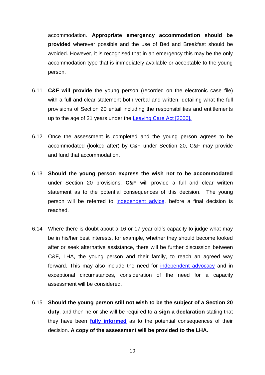accommodation. **Appropriate emergency accommodation should be provided** wherever possible and the use of Bed and Breakfast should be avoided. However, it is recognised that in an emergency this may be the only accommodation type that is immediately available or acceptable to the young person.

- 6.11 **C&F will provide** the young person (recorded on the electronic case file) with a full and clear statement both verbal and written, detailing what the full provisions of Section 20 entail including the responsibilities and entitlements up to the age of 21 years under the [Leaving Care Act \[2000\].](http://www.legislation.gov.uk/ukpga/2000/35/contents)
- 6.12 Once the assessment is completed and the young person agrees to be accommodated (looked after) by C&F under Section 20, C&F may provide and fund that accommodation.
- 6.13 **Should the young person express the wish not to be accommodated** under Section 20 provisions, **C&F** will provide a full and clear written statement as to the potential consequences of this decision. The young person will be referred to [independent advice,](http://coventry.fsd.org.uk/kb5/coventry/fsd/organisation.page?record=4s219mbfY70) before a final decision is reached.
- 6.14 Where there is doubt about a 16 or 17 year old's capacity to judge what may be in his/her best interests, for example, whether they should become looked after or seek alternative assistance, there will be further discussion between C&F, LHA, the young person and their family, to reach an agreed way forward. This may also include the need for [independent advocacy](http://coventry.fsd.org.uk/kb5/coventry/fsd/organisation.page?record=4s219mbfY70) and in exceptional circumstances, consideration of the need for a capacity assessment will be considered.
- 6.15 **Should the young person still not wish to be the subject of a Section 20 duty**, and then he or she will be required to a **sign a declaration** stating that they have been **[fully informed](http://www.warwickshire.gov.uk/leavingcare)** as to the potential consequences of their decision. **A copy of the assessment will be provided to the LHA.**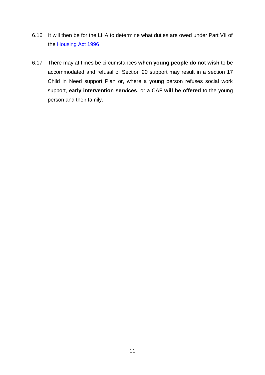- 6.16 It will then be for the LHA to determine what duties are owed under Part VII of the [Housing Act 1996.](http://www.legislation.gov.uk/ukpga/1996/52/contents)
- 6.17 There may at times be circumstances **when young people do not wish** to be accommodated and refusal of Section 20 support may result in a section 17 Child in Need support Plan or, where a young person refuses social work support, **early intervention services**, or a CAF **will be offered** to the young person and their family.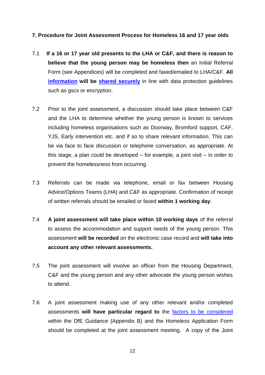## **7. Procedure for Joint Assessment Process for Homeless 16 and 17 year olds**

- 7.1 **If a 16 or 17 year old presents to the LHA or C&F, and there is reason to believe that the young person may be homeless then** an Initial Referral Form (see Appendices) will be completed and faxed/emailed to LHA/C&F. **All [information](https://www.gov.uk/government/publications/safeguarding-practitioners-information-sharing-advice)** will be **shared securely** in line with data protection quidelines such as gscx or encryption.
- 7.2 Prior to the joint assessment, a discussion should take place between C&F and the LHA to determine whether the young person is known to services including homeless organisations such as Doorway, Bromford support, CAF, YJS, Early intervention etc. and if so to share relevant information. This can be via face to face discussion or telephone conversation, as appropriate. At this stage, a plan could be developed – for example, a joint visit – in order to prevent the homelessness from occurring.
- 7.3 Referrals can be made via telephone, email or fax between Housing Advice/Options Teams (LHA) and C&F as appropriate. Confirmation of receipt of written referrals should be emailed or faxed **within 1 working day**.
- 7.4 **A joint assessment will take place within 10 working days** of the referral to assess the accommodation and support needs of the young person. This assessment **will be recorded** on the electronic case record and **will take into account any other relevant assessments.**
- 7.5 The joint assessment will involve an officer from the Housing Department, C&F and the young person and any other advocate the young person wishes to attend.
- 7.6 A joint assessment making use of any other relevant and/or completed assessments **will have particular regard to** the [factors to be considered](https://www.gov.uk/government/uploads/system/uploads/attachment_data/file/8260/Provision_20of_20accommodation.pdf) within the DfE Guidance (Appendix B) and the Homeless Application Form should be completed at the joint assessment meeting. A copy of the Joint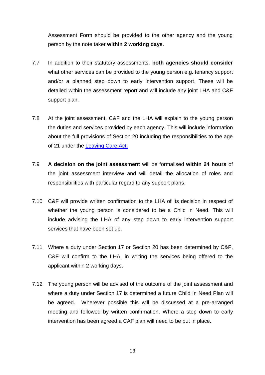Assessment Form should be provided to the other agency and the young person by the note taker **within 2 working days**.

- 7.7 In addition to their statutory assessments, **both agencies should consider** what other services can be provided to the young person e.g. tenancy support and/or a planned step down to early intervention support. These will be detailed within the assessment report and will include any joint LHA and C&F support plan.
- 7.8 At the joint assessment, C&F and the LHA will explain to the young person the duties and services provided by each agency. This will include information about the full provisions of Section 20 including the responsibilities to the age of 21 under the [Leaving Care Act.](http://www.legislation.gov.uk/ukpga/2000/35/contents)
- 7.9 **A decision on the joint assessment** will be formalised **within 24 hours** of the joint assessment interview and will detail the allocation of roles and responsibilities with particular regard to any support plans.
- 7.10 C&F will provide written confirmation to the LHA of its decision in respect of whether the young person is considered to be a Child in Need. This will include advising the LHA of any step down to early intervention support services that have been set up.
- 7.11 Where a duty under Section 17 or Section 20 has been determined by C&F, C&F will confirm to the LHA, in writing the services being offered to the applicant within 2 working days.
- 7.12 The young person will be advised of the outcome of the joint assessment and where a duty under Section 17 is determined a future Child In Need Plan will be agreed. Wherever possible this will be discussed at a pre-arranged meeting and followed by written confirmation. Where a step down to early intervention has been agreed a CAF plan will need to be put in place.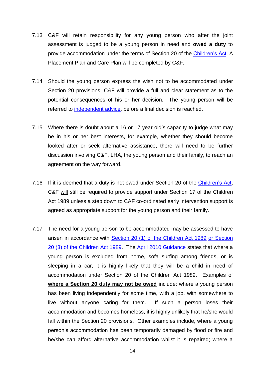- 7.13 C&F will retain responsibility for any young person who after the joint assessment is judged to be a young person in need and **owed a duty** to provide accommodation under the terms of Section 20 of the [Children's Act.](http://www.legislation.gov.uk/ukpga/1989/41/contents) A Placement Plan and Care Plan will be completed by C&F.
- 7.14 Should the young person express the wish not to be accommodated under Section 20 provisions, C&F will provide a full and clear statement as to the potential consequences of his or her decision. The young person will be referred to [independent advice,](http://coventry.fsd.org.uk/kb5/coventry/fsd/organisation.page?record=4s219mbfY70) before a final decision is reached.
- 7.15 Where there is doubt about a 16 or 17 year old's capacity to judge what may be in his or her best interests, for example, whether they should become looked after or seek alternative assistance, there will need to be further discussion involving C&F, LHA, the young person and their family, to reach an agreement on the way forward.
- 7.16 If it is deemed that a duty is not owed under Section 20 of the [Children's Act,](http://www.legislation.gov.uk/ukpga/1989/41/contents) C&F will still be required to provide support under Section 17 of the Children Act 1989 unless a step down to CAF co-ordinated early intervention support is agreed as appropriate support for the young person and their family.
- 7.17 The need for a young person to be accommodated may be assessed to have arisen in accordance with [Section 20 \(1\) of the Children Act 1989](http://www.legislation.gov.uk/ukpga/1989/41/section/20) [or Section](http://www.legislation.gov.uk/ukpga/1989/41/section/20)  [20 \(3\) of the Children Act 1989.](http://www.legislation.gov.uk/ukpga/1989/41/section/20) The [April 2010 Guidance](http://www.legislation.gov.uk/ukpga/1989/41/contents) states that where a young person is excluded from home, sofa surfing among friends, or is sleeping in a car, it is highly likely that they will be a child in need of accommodation under Section 20 of the Children Act 1989. Examples of **where a Section 20 duty may not be owed** include: where a young person has been living independently for some time, with a job, with somewhere to live without anyone caring for them. If such a person loses their accommodation and becomes homeless, it is highly unlikely that he/she would fall within the Section 20 provisions. Other examples include, where a young person's accommodation has been temporarily damaged by flood or fire and he/she can afford alternative accommodation whilst it is repaired; where a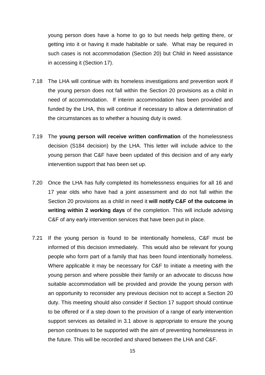young person does have a home to go to but needs help getting there, or getting into it or having it made habitable or safe. What may be required in such cases is not accommodation (Section 20) but Child in Need assistance in accessing it (Section 17).

- 7.18 The LHA will continue with its homeless investigations and prevention work if the young person does not fall within the Section 20 provisions as a child in need of accommodation. If interim accommodation has been provided and funded by the LHA, this will continue if necessary to allow a determination of the circumstances as to whether a housing duty is owed.
- 7.19 The **young person will receive written confirmation** of the homelessness decision (S184 decision) by the LHA. This letter will include advice to the young person that C&F have been updated of this decision and of any early intervention support that has been set up.
- 7.20 Once the LHA has fully completed its homelessness enquiries for all 16 and 17 year olds who have had a joint assessment and do not fall within the Section 20 provisions as a child in need it **will notify C&F of the outcome in writing within 2 working days** of the completion. This will include advising C&F of any early intervention services that have been put in place.
- 7.21 If the young person is found to be intentionally homeless, C&F must be informed of this decision immediately. This would also be relevant for young people who form part of a family that has been found intentionally homeless. Where applicable it may be necessary for C&F to initiate a meeting with the young person and where possible their family or an advocate to discuss how suitable accommodation will be provided and provide the young person with an opportunity to reconsider any previous decision not to accept a Section 20 duty. This meeting should also consider if Section 17 support should continue to be offered or if a step down to the provision of a range of early intervention support services as detailed in 3.1 above is appropriate to ensure the young person continues to be supported with the aim of preventing homelessness in the future. This will be recorded and shared between the LHA and C&F.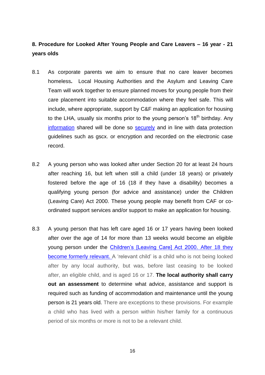# **8. Procedure for Looked After Young People and Care Leavers – 16 year - 21 years olds**

- 8.1 As corporate parents we aim to ensure that no care leaver becomes homeless**.** Local Housing Authorities and the Asylum and Leaving Care Team will work together to ensure planned moves for young people from their care placement into suitable accommodation where they feel safe. This will include, where appropriate, support by C&F making an application for housing to the LHA, usually six months prior to the young person's  $18<sup>th</sup>$  birthday. Any [information](https://www.gov.uk/government/publications/safeguarding-practitioners-information-sharing-advice) shared will be done so [securely](http://www.warwickshire.gov.uk/sharinginformation) and in line with data protection guidelines such as gscx. or encryption and recorded on the electronic case record.
- 8.2 A young person who was looked after under Section 20 for at least 24 hours after reaching 16, but left when still a child (under 18 years) or privately fostered before the age of 16 (18 if they have a disability) becomes a qualifying young person (for advice and assistance) under the Children (Leaving Care) Act 2000. These young people may benefit from CAF or coordinated support services and/or support to make an application for housing.
- 8.3 A young person that has left care aged 16 or 17 years having been looked after over the age of 14 for more than 13 weeks would become an eligible young person under the [Children's \[Leaving Care\] Act 2000.](http://www.legislation.gov.uk/ukpga/2000/35/contents) After 18 they become formerly relevant. A 'relevant child' is a child who is not being looked after by any local authority, but was, before last ceasing to be looked after, an eligible child, and is aged 16 or 17. **The local authority shall carry out an assessment** to determine what advice, assistance and support is required such as funding of accommodation and maintenance until the young person is 21 years old. There are exceptions to these provisions. For example a child who has lived with a person within his/her family for a continuous period of six months or more is not to be a relevant child.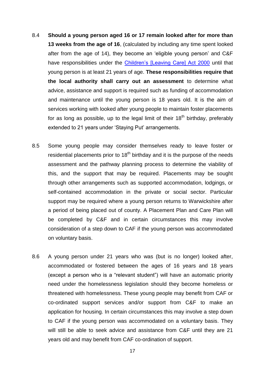- 8.4 **Should a young person aged 16 or 17 remain looked after for more than 13 weeks from the age of 16**, (calculated by including any time spent looked after from the age of 14), they become an 'eligible young person' and C&F have responsibilities under the [Children's \[Leaving Care\] Act 2000](http://www.legislation.gov.uk/ukpga/2000/35/contents) until that young person is at least 21 years of age. **These responsibilities require that the local authority shall carry out an assessment** to determine what advice, assistance and support is required such as funding of accommodation and maintenance until the young person is 18 years old. It is the aim of services working with looked after young people to maintain foster placements for as long as possible, up to the legal limit of their  $18<sup>th</sup>$  birthday, preferably extended to 21 years under 'Staying Put' arrangements.
- 8.5 Some young people may consider themselves ready to leave foster or residential placements prior to  $18<sup>th</sup>$  birthday and it is the purpose of the needs assessment and the pathway planning process to determine the viability of this, and the support that may be required. Placements may be sought through other arrangements such as supported accommodation, lodgings, or self-contained accommodation in the private or social sector. Particular support may be required where a young person returns to Warwickshire after a period of being placed out of county. A Placement Plan and Care Plan will be completed by C&F and in certain circumstances this may involve consideration of a step down to CAF if the young person was accommodated on voluntary basis.
- 8.6 A young person under 21 years who was (but is no longer) looked after, accommodated or fostered between the ages of 16 years and 18 years (except a person who is a "relevant student") will have an automatic priority need under the homelessness legislation should they become homeless or threatened with homelessness. These young people may benefit from CAF or co-ordinated support services and/or support from C&F to make an application for housing. In certain circumstances this may involve a step down to CAF if the young person was accommodated on a voluntary basis. They will still be able to seek advice and assistance from C&F until they are 21 years old and may benefit from CAF co-ordination of support.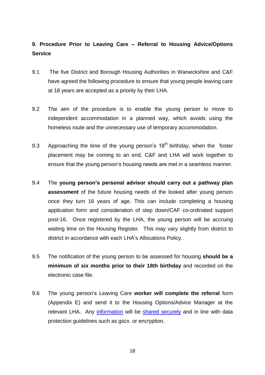# **9. Procedure Prior to Leaving Care – Referral to Housing Advice/Options Service**

- 9.1 The five District and Borough Housing Authorities in Warwickshire and C&F have agreed the following procedure to ensure that young people leaving care at 18 years are accepted as a priority by their LHA.
- 9.2 The aim of the procedure is to enable the young person to move to independent accommodation in a planned way, which avoids using the homeless route and the unnecessary use of temporary accommodation.
- 9.3 Approaching the time of the young person's  $18<sup>th</sup>$  birthday, when the foster placement may be coming to an end, C&F and LHA will work together to ensure that the young person's housing needs are met in a seamless manner.
- 9.4 The **young person's personal advisor should carry out a pathway plan assessment** of the future housing needs of the looked after young person once they turn 16 years of age. This can include completing a housing application form and consideration of step down/CAF co-ordinated support post-16. Once registered by the LHA, the young person will be accruing waiting time on the Housing Register. This may vary slightly from district to district in accordance with each LHA's Allocations Policy.
- 9.5 The notification of the young person to be assessed for housing **should be a minimum of six months prior to their 18th birthday** and recorded on the electronic case file.
- 9.6 The young person's Leaving Care **worker will complete the referral** form (Appendix E) and send it to the Housing Options/Advice Manager at the relevant LHA. Any [information](https://www.gov.uk/government/publications/safeguarding-practitioners-information-sharing-advice) will be [shared securely](http://www.warwickshire.gov.uk/sharinginformation) and in line with data protection guidelines such as gscx. or encryption.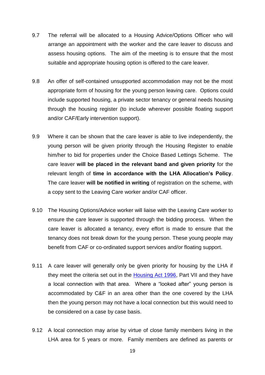- 9.7 The referral will be allocated to a Housing Advice/Options Officer who will arrange an appointment with the worker and the care leaver to discuss and assess housing options. The aim of the meeting is to ensure that the most suitable and appropriate housing option is offered to the care leaver.
- 9.8 An offer of self-contained unsupported accommodation may not be the most appropriate form of housing for the young person leaving care. Options could include supported housing, a private sector tenancy or general needs housing through the housing register (to include wherever possible floating support and/or CAF/Early intervention support).
- 9.9 Where it can be shown that the care leaver is able to live independently, the young person will be given priority through the Housing Register to enable him/her to bid for properties under the Choice Based Lettings Scheme. The care leaver **will be placed in the relevant band and given priority** for the relevant length of **time in accordance with the LHA Allocation's Policy**. The care leaver **will be notified in writing** of registration on the scheme, with a copy sent to the Leaving Care worker and/or CAF officer.
- 9.10 The Housing Options/Advice worker will liaise with the Leaving Care worker to ensure the care leaver is supported through the bidding process. When the care leaver is allocated a tenancy, every effort is made to ensure that the tenancy does not break down for the young person. These young people may benefit from CAF or co-ordinated support services and/or floating support.
- 9.11 A care leaver will generally only be given priority for housing by the LHA if they meet the criteria set out in the [Housing Act 1996,](http://www.legislation.gov.uk/ukpga/1996/52/contents) Part VII and they have a local connection with that area. Where a "looked after" young person is accommodated by C&F in an area other than the one covered by the LHA then the young person may not have a local connection but this would need to be considered on a case by case basis.
- 9.12 A local connection may arise by virtue of close family members living in the LHA area for 5 years or more. Family members are defined as parents or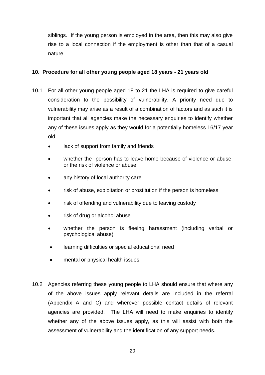siblings. If the young person is employed in the area, then this may also give rise to a local connection if the employment is other than that of a casual nature.

# **10. Procedure for all other young people aged 18 years - 21 years old**

- 10.1 For all other young people aged 18 to 21 the LHA is required to give careful consideration to the possibility of vulnerability. A priority need due to vulnerability may arise as a result of a combination of factors and as such it is important that all agencies make the necessary enquiries to identify whether any of these issues apply as they would for a potentially homeless 16/17 year old:
	- lack of support from family and friends
	- whether the person has to leave home because of violence or abuse, or the risk of violence or abuse
	- any history of local authority care
	- risk of abuse, exploitation or prostitution if the person is homeless
	- risk of offending and vulnerability due to leaving custody
	- risk of drug or alcohol abuse
	- whether the person is fleeing harassment (including verbal or psychological abuse)
	- learning difficulties or special educational need
	- mental or physical health issues.
- 10.2 Agencies referring these young people to LHA should ensure that where any of the above issues apply relevant details are included in the referral (Appendix A and C) and wherever possible contact details of relevant agencies are provided. The LHA will need to make enquiries to identify whether any of the above issues apply, as this will assist with both the assessment of vulnerability and the identification of any support needs.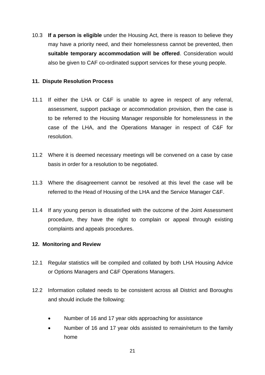10.3 **If a person is eligible** under the Housing Act, there is reason to believe they may have a priority need, and their homelessness cannot be prevented, then **suitable temporary accommodation will be offered**. Consideration would also be given to CAF co-ordinated support services for these young people.

# **11. Dispute Resolution Process**

- 11.1 If either the LHA or C&F is unable to agree in respect of any referral, assessment, support package or accommodation provision, then the case is to be referred to the Housing Manager responsible for homelessness in the case of the LHA, and the Operations Manager in respect of C&F for resolution.
- 11.2 Where it is deemed necessary meetings will be convened on a case by case basis in order for a resolution to be negotiated.
- 11.3 Where the disagreement cannot be resolved at this level the case will be referred to the Head of Housing of the LHA and the Service Manager C&F.
- 11.4 If any young person is dissatisfied with the outcome of the Joint Assessment procedure, they have the right to complain or appeal through existing complaints and appeals procedures.

# **12. Monitoring and Review**

- 12.1 Regular statistics will be compiled and collated by both LHA Housing Advice or Options Managers and C&F Operations Managers.
- 12.2 Information collated needs to be consistent across all District and Boroughs and should include the following:
	- Number of 16 and 17 year olds approaching for assistance
	- Number of 16 and 17 year olds assisted to remain/return to the family home